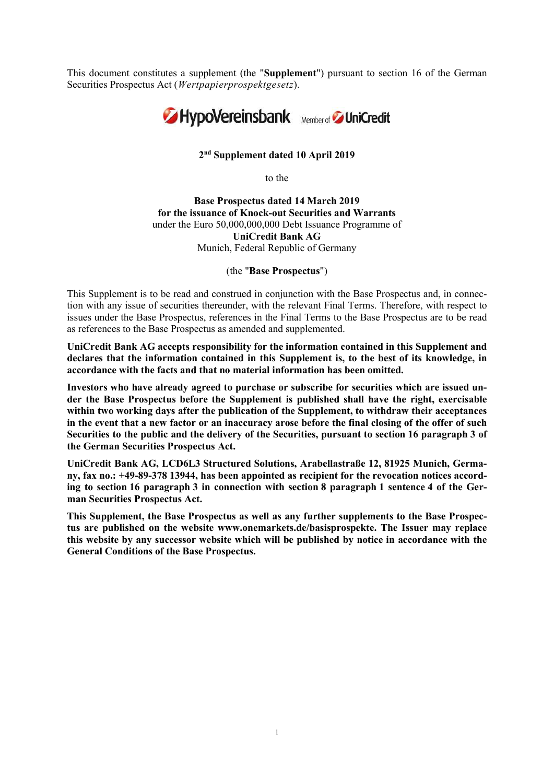This document constitutes a supplement (the "Supplement") pursuant to section 16 of the German Securities Prospectus Act (Wertpapierprospektgesetz).



# 2 nd Supplement dated 10 April 2019

to the

Base Prospectus dated 14 March 2019 for the issuance of Knock-out Securities and Warrants under the Euro 50,000,000,000 Debt Issuance Programme of UniCredit Bank AG Munich, Federal Republic of Germany

(the "Base Prospectus")

This Supplement is to be read and construed in conjunction with the Base Prospectus and, in connection with any issue of securities thereunder, with the relevant Final Terms. Therefore, with respect to issues under the Base Prospectus, references in the Final Terms to the Base Prospectus are to be read as references to the Base Prospectus as amended and supplemented.

UniCredit Bank AG accepts responsibility for the information contained in this Supplement and declares that the information contained in this Supplement is, to the best of its knowledge, in accordance with the facts and that no material information has been omitted.

Investors who have already agreed to purchase or subscribe for securities which are issued under the Base Prospectus before the Supplement is published shall have the right, exercisable within two working days after the publication of the Supplement, to withdraw their acceptances in the event that a new factor or an inaccuracy arose before the final closing of the offer of such Securities to the public and the delivery of the Securities, pursuant to section 16 paragraph 3 of the German Securities Prospectus Act.

UniCredit Bank AG, LCD6L3 Structured Solutions, Arabellastraße 12, 81925 Munich, Germany, fax no.: +49-89-378 13944, has been appointed as recipient for the revocation notices according to section 16 paragraph 3 in connection with section 8 paragraph 1 sentence 4 of the German Securities Prospectus Act.

This Supplement, the Base Prospectus as well as any further supplements to the Base Prospectus are published on the website www.onemarkets.de/basisprospekte. The Issuer may replace this website by any successor website which will be published by notice in accordance with the General Conditions of the Base Prospectus.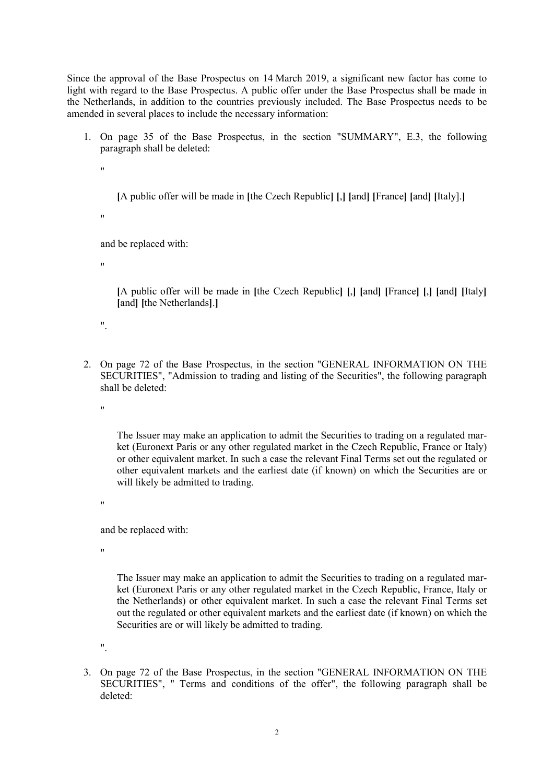Since the approval of the Base Prospectus on 14 March 2019, a significant new factor has come to light with regard to the Base Prospectus. A public offer under the Base Prospectus shall be made in the Netherlands, in addition to the countries previously included. The Base Prospectus needs to be amended in several places to include the necessary information:

1. On page 35 of the Base Prospectus, in the section "SUMMARY", E.3, the following paragraph shall be deleted:

.,

[A public offer will be made in [the Czech Republic] [,] [and] [France] [and] [Italy].]

"

and be replaced with:

"

[A public offer will be made in [the Czech Republic] [,] [and] [France] [,] [and] [Italy] [and] [the Netherlands].]

".

2. On page 72 of the Base Prospectus, in the section "GENERAL INFORMATION ON THE SECURITIES", "Admission to trading and listing of the Securities", the following paragraph shall be deleted:

"

The Issuer may make an application to admit the Securities to trading on a regulated market (Euronext Paris or any other regulated market in the Czech Republic, France or Italy) or other equivalent market. In such a case the relevant Final Terms set out the regulated or other equivalent markets and the earliest date (if known) on which the Securities are or will likely be admitted to trading.

"

and be replaced with:

"

The Issuer may make an application to admit the Securities to trading on a regulated market (Euronext Paris or any other regulated market in the Czech Republic, France, Italy or the Netherlands) or other equivalent market. In such a case the relevant Final Terms set out the regulated or other equivalent markets and the earliest date (if known) on which the Securities are or will likely be admitted to trading.

".

3. On page 72 of the Base Prospectus, in the section "GENERAL INFORMATION ON THE SECURITIES", " Terms and conditions of the offer", the following paragraph shall be deleted: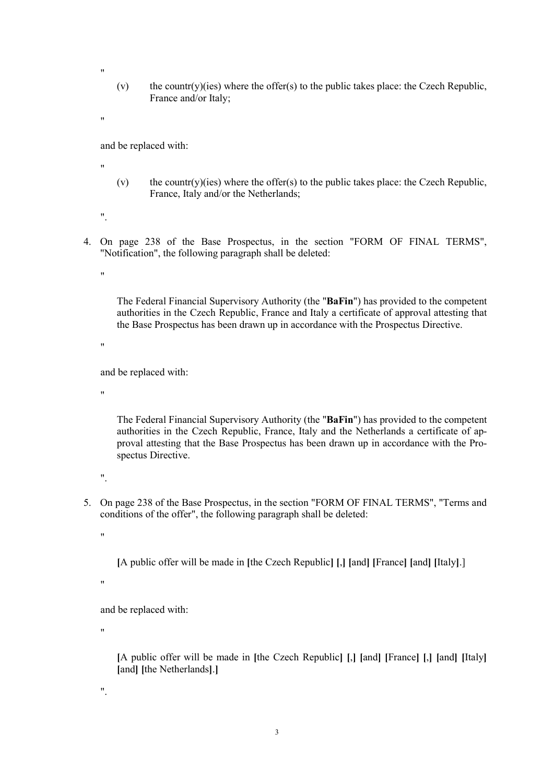- (v) the countr(y)(ies) where the offer(s) to the public takes place: the Czech Republic, France and/or Italy;
- "

"

and be replaced with:

- "
- (v) the countr(y)(ies) where the offer(s) to the public takes place: the Czech Republic, France, Italy and/or the Netherlands;
- ".
- 4. On page 238 of the Base Prospectus, in the section "FORM OF FINAL TERMS", "Notification", the following paragraph shall be deleted:

 $"$ 

The Federal Financial Supervisory Authority (the "BaFin") has provided to the competent authorities in the Czech Republic, France and Italy a certificate of approval attesting that the Base Prospectus has been drawn up in accordance with the Prospectus Directive.

"

and be replaced with:

"

The Federal Financial Supervisory Authority (the "BaFin") has provided to the competent authorities in the Czech Republic, France, Italy and the Netherlands a certificate of approval attesting that the Base Prospectus has been drawn up in accordance with the Prospectus Directive.

".

5. On page 238 of the Base Prospectus, in the section "FORM OF FINAL TERMS", "Terms and conditions of the offer", the following paragraph shall be deleted:

"

[A public offer will be made in [the Czech Republic] [,] [and] [France] [and] [Italy].]

"

and be replaced with:

"

[A public offer will be made in [the Czech Republic] [,] [and] [France] [,] [and] [Italy] [and] [the Netherlands].]

".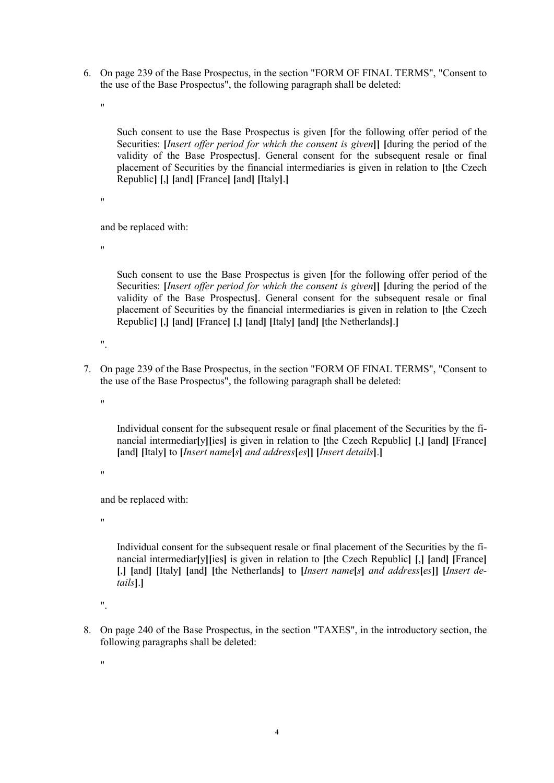6. On page 239 of the Base Prospectus, in the section "FORM OF FINAL TERMS", "Consent to the use of the Base Prospectus", the following paragraph shall be deleted:

 $"$ 

Such consent to use the Base Prospectus is given [for the following offer period of the Securities: *[Insert offer period for which the consent is given*]] [during the period of the validity of the Base Prospectus]. General consent for the subsequent resale or final placement of Securities by the financial intermediaries is given in relation to [the Czech Republic] [,] [and] [France] [and] [Italy].]

"

and be replaced with:

"

Such consent to use the Base Prospectus is given [for the following offer period of the Securities: [Insert offer period for which the consent is given]] [during the period of the validity of the Base Prospectus]. General consent for the subsequent resale or final placement of Securities by the financial intermediaries is given in relation to [the Czech Republic] [,] [and] [France] [,] [and] [Italy] [and] [the Netherlands].]

 $\mathbf{u}$ 

7. On page 239 of the Base Prospectus, in the section "FORM OF FINAL TERMS", "Consent to the use of the Base Prospectus", the following paragraph shall be deleted:

"

Individual consent for the subsequent resale or final placement of the Securities by the financial intermediar[y][ies] is given in relation to [the Czech Republic] [,] [and] [France] [and] [Italy] to [*Insert name*[s] and address[es]] [*Insert details*].]

"

and be replaced with:

"

Individual consent for the subsequent resale or final placement of the Securities by the financial intermediar[y][ies] is given in relation to [the Czech Republic] [,] [and] [France] [,] [and] [Italy] [and] [the Netherlands] to [Insert name[s] and address[es]] [Insert details].]

".

8. On page 240 of the Base Prospectus, in the section "TAXES", in the introductory section, the following paragraphs shall be deleted:

"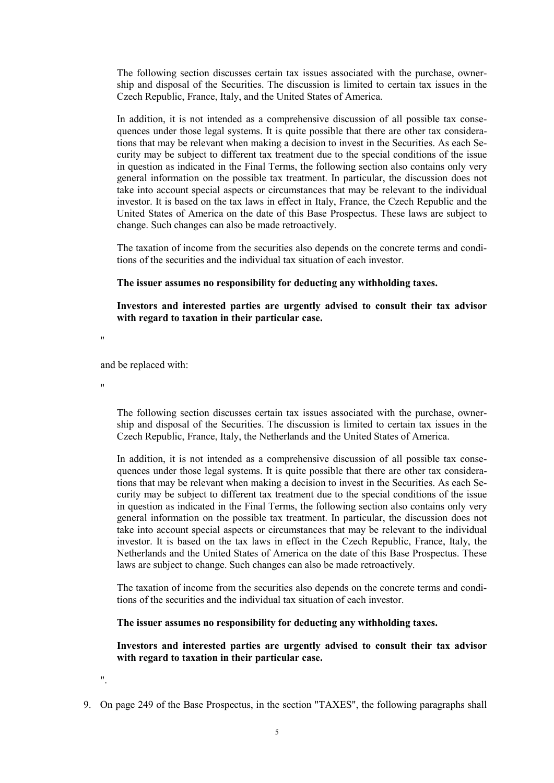The following section discusses certain tax issues associated with the purchase, ownership and disposal of the Securities. The discussion is limited to certain tax issues in the Czech Republic, France, Italy, and the United States of America.

In addition, it is not intended as a comprehensive discussion of all possible tax consequences under those legal systems. It is quite possible that there are other tax considerations that may be relevant when making a decision to invest in the Securities. As each Security may be subject to different tax treatment due to the special conditions of the issue in question as indicated in the Final Terms, the following section also contains only very general information on the possible tax treatment. In particular, the discussion does not take into account special aspects or circumstances that may be relevant to the individual investor. It is based on the tax laws in effect in Italy, France, the Czech Republic and the United States of America on the date of this Base Prospectus. These laws are subject to change. Such changes can also be made retroactively.

The taxation of income from the securities also depends on the concrete terms and conditions of the securities and the individual tax situation of each investor.

### The issuer assumes no responsibility for deducting any withholding taxes.

Investors and interested parties are urgently advised to consult their tax advisor with regard to taxation in their particular case.

 $^{\prime}$ 

and be replaced with:

"

The following section discusses certain tax issues associated with the purchase, ownership and disposal of the Securities. The discussion is limited to certain tax issues in the Czech Republic, France, Italy, the Netherlands and the United States of America.

In addition, it is not intended as a comprehensive discussion of all possible tax consequences under those legal systems. It is quite possible that there are other tax considerations that may be relevant when making a decision to invest in the Securities. As each Security may be subject to different tax treatment due to the special conditions of the issue in question as indicated in the Final Terms, the following section also contains only very general information on the possible tax treatment. In particular, the discussion does not take into account special aspects or circumstances that may be relevant to the individual investor. It is based on the tax laws in effect in the Czech Republic, France, Italy, the Netherlands and the United States of America on the date of this Base Prospectus. These laws are subject to change. Such changes can also be made retroactively.

The taxation of income from the securities also depends on the concrete terms and conditions of the securities and the individual tax situation of each investor.

The issuer assumes no responsibility for deducting any withholding taxes.

Investors and interested parties are urgently advised to consult their tax advisor with regard to taxation in their particular case.

".

9. On page 249 of the Base Prospectus, in the section "TAXES", the following paragraphs shall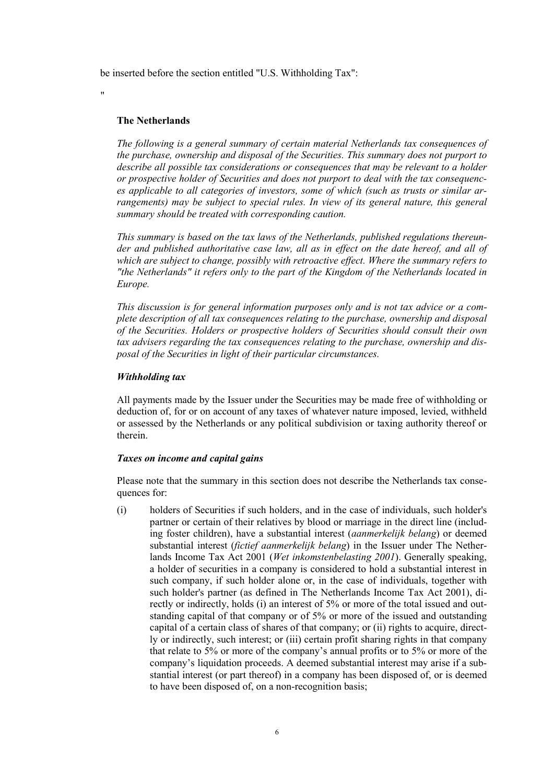be inserted before the section entitled "U.S. Withholding Tax":

"

# The Netherlands

The following is a general summary of certain material Netherlands tax consequences of the purchase, ownership and disposal of the Securities. This summary does not purport to describe all possible tax considerations or consequences that may be relevant to a holder or prospective holder of Securities and does not purport to deal with the tax consequences applicable to all categories of investors, some of which (such as trusts or similar arrangements) may be subject to special rules. In view of its general nature, this general summary should be treated with corresponding caution.

This summary is based on the tax laws of the Netherlands, published regulations thereunder and published authoritative case law, all as in effect on the date hereof, and all of which are subject to change, possibly with retroactive effect. Where the summary refers to "the Netherlands" it refers only to the part of the Kingdom of the Netherlands located in Europe.

This discussion is for general information purposes only and is not tax advice or a complete description of all tax consequences relating to the purchase, ownership and disposal of the Securities. Holders or prospective holders of Securities should consult their own tax advisers regarding the tax consequences relating to the purchase, ownership and disposal of the Securities in light of their particular circumstances.

# Withholding tax

All payments made by the Issuer under the Securities may be made free of withholding or deduction of, for or on account of any taxes of whatever nature imposed, levied, withheld or assessed by the Netherlands or any political subdivision or taxing authority thereof or therein.

## Taxes on income and capital gains

Please note that the summary in this section does not describe the Netherlands tax consequences for:

(i) holders of Securities if such holders, and in the case of individuals, such holder's partner or certain of their relatives by blood or marriage in the direct line (including foster children), have a substantial interest (aanmerkelijk belang) or deemed substantial interest *(fictief aanmerkelijk belang)* in the Issuer under The Netherlands Income Tax Act 2001 (Wet inkomstenbelasting 2001). Generally speaking, a holder of securities in a company is considered to hold a substantial interest in such company, if such holder alone or, in the case of individuals, together with such holder's partner (as defined in The Netherlands Income Tax Act 2001), directly or indirectly, holds (i) an interest of 5% or more of the total issued and outstanding capital of that company or of 5% or more of the issued and outstanding capital of a certain class of shares of that company; or (ii) rights to acquire, directly or indirectly, such interest; or (iii) certain profit sharing rights in that company that relate to 5% or more of the company's annual profits or to 5% or more of the company's liquidation proceeds. A deemed substantial interest may arise if a substantial interest (or part thereof) in a company has been disposed of, or is deemed to have been disposed of, on a non-recognition basis;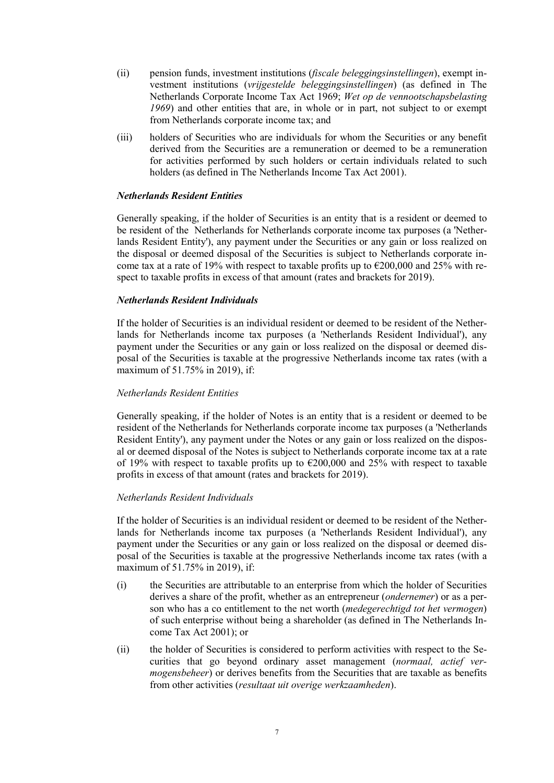- (ii) pension funds, investment institutions (fiscale beleggingsinstellingen), exempt investment institutions (vrijgestelde beleggingsinstellingen) (as defined in The Netherlands Corporate Income Tax Act 1969; Wet op de vennootschapsbelasting 1969) and other entities that are, in whole or in part, not subject to or exempt from Netherlands corporate income tax; and
- (iii) holders of Securities who are individuals for whom the Securities or any benefit derived from the Securities are a remuneration or deemed to be a remuneration for activities performed by such holders or certain individuals related to such holders (as defined in The Netherlands Income Tax Act 2001).

# Netherlands Resident Entities

Generally speaking, if the holder of Securities is an entity that is a resident or deemed to be resident of the Netherlands for Netherlands corporate income tax purposes (a 'Netherlands Resident Entity'), any payment under the Securities or any gain or loss realized on the disposal or deemed disposal of the Securities is subject to Netherlands corporate income tax at a rate of 19% with respect to taxable profits up to  $\epsilon$ 200,000 and 25% with respect to taxable profits in excess of that amount (rates and brackets for 2019).

# Netherlands Resident Individuals

If the holder of Securities is an individual resident or deemed to be resident of the Netherlands for Netherlands income tax purposes (a 'Netherlands Resident Individual'), any payment under the Securities or any gain or loss realized on the disposal or deemed disposal of the Securities is taxable at the progressive Netherlands income tax rates (with a maximum of 51.75% in 2019), if:

## Netherlands Resident Entities

Generally speaking, if the holder of Notes is an entity that is a resident or deemed to be resident of the Netherlands for Netherlands corporate income tax purposes (a 'Netherlands Resident Entity'), any payment under the Notes or any gain or loss realized on the disposal or deemed disposal of the Notes is subject to Netherlands corporate income tax at a rate of 19% with respect to taxable profits up to  $\epsilon$ 200,000 and 25% with respect to taxable profits in excess of that amount (rates and brackets for 2019).

### Netherlands Resident Individuals

If the holder of Securities is an individual resident or deemed to be resident of the Netherlands for Netherlands income tax purposes (a 'Netherlands Resident Individual'), any payment under the Securities or any gain or loss realized on the disposal or deemed disposal of the Securities is taxable at the progressive Netherlands income tax rates (with a maximum of 51.75% in 2019), if:

- (i) the Securities are attributable to an enterprise from which the holder of Securities derives a share of the profit, whether as an entrepreneur (ondernemer) or as a person who has a co entitlement to the net worth (medegerechtigd tot het vermogen) of such enterprise without being a shareholder (as defined in The Netherlands Income Tax Act 2001); or
- (ii) the holder of Securities is considered to perform activities with respect to the Securities that go beyond ordinary asset management (normaal, actief vermogensbeheer) or derives benefits from the Securities that are taxable as benefits from other activities (resultaat uit overige werkzaamheden).